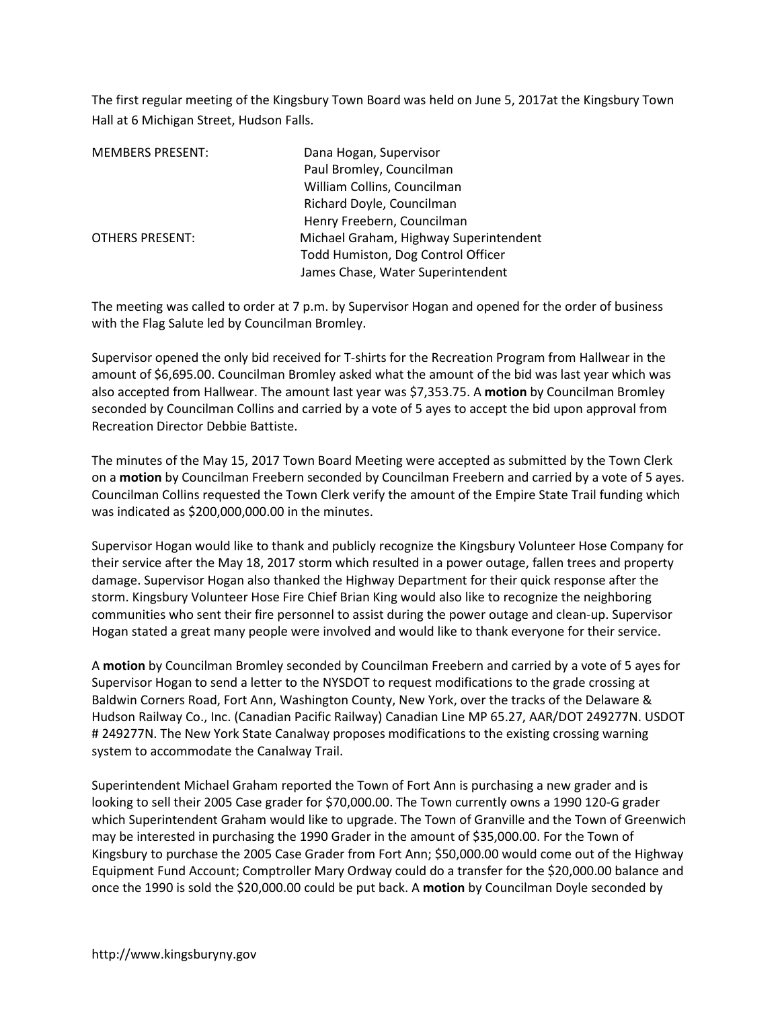The first regular meeting of the Kingsbury Town Board was held on June 5, 2017at the Kingsbury Town Hall at 6 Michigan Street, Hudson Falls.

| <b>MEMBERS PRESENT:</b> | Dana Hogan, Supervisor                 |
|-------------------------|----------------------------------------|
|                         | Paul Bromley, Councilman               |
|                         | William Collins, Councilman            |
|                         | Richard Doyle, Councilman              |
|                         | Henry Freebern, Councilman             |
| <b>OTHERS PRESENT:</b>  | Michael Graham, Highway Superintendent |
|                         | Todd Humiston, Dog Control Officer     |
|                         | James Chase, Water Superintendent      |

The meeting was called to order at 7 p.m. by Supervisor Hogan and opened for the order of business with the Flag Salute led by Councilman Bromley.

Supervisor opened the only bid received for T-shirts for the Recreation Program from Hallwear in the amount of \$6,695.00. Councilman Bromley asked what the amount of the bid was last year which was also accepted from Hallwear. The amount last year was \$7,353.75. A **motion** by Councilman Bromley seconded by Councilman Collins and carried by a vote of 5 ayes to accept the bid upon approval from Recreation Director Debbie Battiste.

The minutes of the May 15, 2017 Town Board Meeting were accepted as submitted by the Town Clerk on a **motion** by Councilman Freebern seconded by Councilman Freebern and carried by a vote of 5 ayes. Councilman Collins requested the Town Clerk verify the amount of the Empire State Trail funding which was indicated as \$200,000,000.00 in the minutes.

Supervisor Hogan would like to thank and publicly recognize the Kingsbury Volunteer Hose Company for their service after the May 18, 2017 storm which resulted in a power outage, fallen trees and property damage. Supervisor Hogan also thanked the Highway Department for their quick response after the storm. Kingsbury Volunteer Hose Fire Chief Brian King would also like to recognize the neighboring communities who sent their fire personnel to assist during the power outage and clean-up. Supervisor Hogan stated a great many people were involved and would like to thank everyone for their service.

A **motion** by Councilman Bromley seconded by Councilman Freebern and carried by a vote of 5 ayes for Supervisor Hogan to send a letter to the NYSDOT to request modifications to the grade crossing at Baldwin Corners Road, Fort Ann, Washington County, New York, over the tracks of the Delaware & Hudson Railway Co., Inc. (Canadian Pacific Railway) Canadian Line MP 65.27, AAR/DOT 249277N. USDOT # 249277N. The New York State Canalway proposes modifications to the existing crossing warning system to accommodate the Canalway Trail.

Superintendent Michael Graham reported the Town of Fort Ann is purchasing a new grader and is looking to sell their 2005 Case grader for \$70,000.00. The Town currently owns a 1990 120-G grader which Superintendent Graham would like to upgrade. The Town of Granville and the Town of Greenwich may be interested in purchasing the 1990 Grader in the amount of \$35,000.00. For the Town of Kingsbury to purchase the 2005 Case Grader from Fort Ann; \$50,000.00 would come out of the Highway Equipment Fund Account; Comptroller Mary Ordway could do a transfer for the \$20,000.00 balance and once the 1990 is sold the \$20,000.00 could be put back. A **motion** by Councilman Doyle seconded by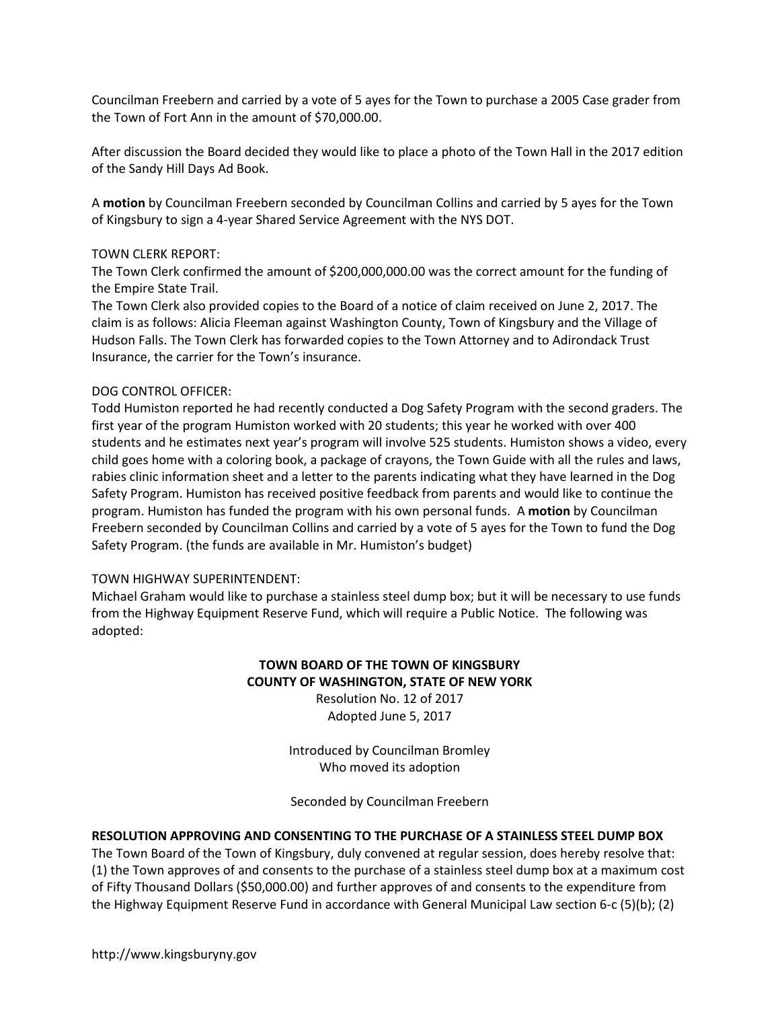Councilman Freebern and carried by a vote of 5 ayes for the Town to purchase a 2005 Case grader from the Town of Fort Ann in the amount of \$70,000.00.

After discussion the Board decided they would like to place a photo of the Town Hall in the 2017 edition of the Sandy Hill Days Ad Book.

A **motion** by Councilman Freebern seconded by Councilman Collins and carried by 5 ayes for the Town of Kingsbury to sign a 4-year Shared Service Agreement with the NYS DOT.

#### TOWN CLERK REPORT:

The Town Clerk confirmed the amount of \$200,000,000.00 was the correct amount for the funding of the Empire State Trail.

The Town Clerk also provided copies to the Board of a notice of claim received on June 2, 2017. The claim is as follows: Alicia Fleeman against Washington County, Town of Kingsbury and the Village of Hudson Falls. The Town Clerk has forwarded copies to the Town Attorney and to Adirondack Trust Insurance, the carrier for the Town's insurance.

### DOG CONTROL OFFICER:

Todd Humiston reported he had recently conducted a Dog Safety Program with the second graders. The first year of the program Humiston worked with 20 students; this year he worked with over 400 students and he estimates next year's program will involve 525 students. Humiston shows a video, every child goes home with a coloring book, a package of crayons, the Town Guide with all the rules and laws, rabies clinic information sheet and a letter to the parents indicating what they have learned in the Dog Safety Program. Humiston has received positive feedback from parents and would like to continue the program. Humiston has funded the program with his own personal funds. A **motion** by Councilman Freebern seconded by Councilman Collins and carried by a vote of 5 ayes for the Town to fund the Dog Safety Program. (the funds are available in Mr. Humiston's budget)

### TOWN HIGHWAY SUPERINTENDENT:

Michael Graham would like to purchase a stainless steel dump box; but it will be necessary to use funds from the Highway Equipment Reserve Fund, which will require a Public Notice. The following was adopted:

# **TOWN BOARD OF THE TOWN OF KINGSBURY COUNTY OF WASHINGTON, STATE OF NEW YORK**

Resolution No. 12 of 2017 Adopted June 5, 2017

Introduced by Councilman Bromley Who moved its adoption

Seconded by Councilman Freebern

### **RESOLUTION APPROVING AND CONSENTING TO THE PURCHASE OF A STAINLESS STEEL DUMP BOX**

The Town Board of the Town of Kingsbury, duly convened at regular session, does hereby resolve that: (1) the Town approves of and consents to the purchase of a stainless steel dump box at a maximum cost of Fifty Thousand Dollars (\$50,000.00) and further approves of and consents to the expenditure from the Highway Equipment Reserve Fund in accordance with General Municipal Law section 6-c (5)(b); (2)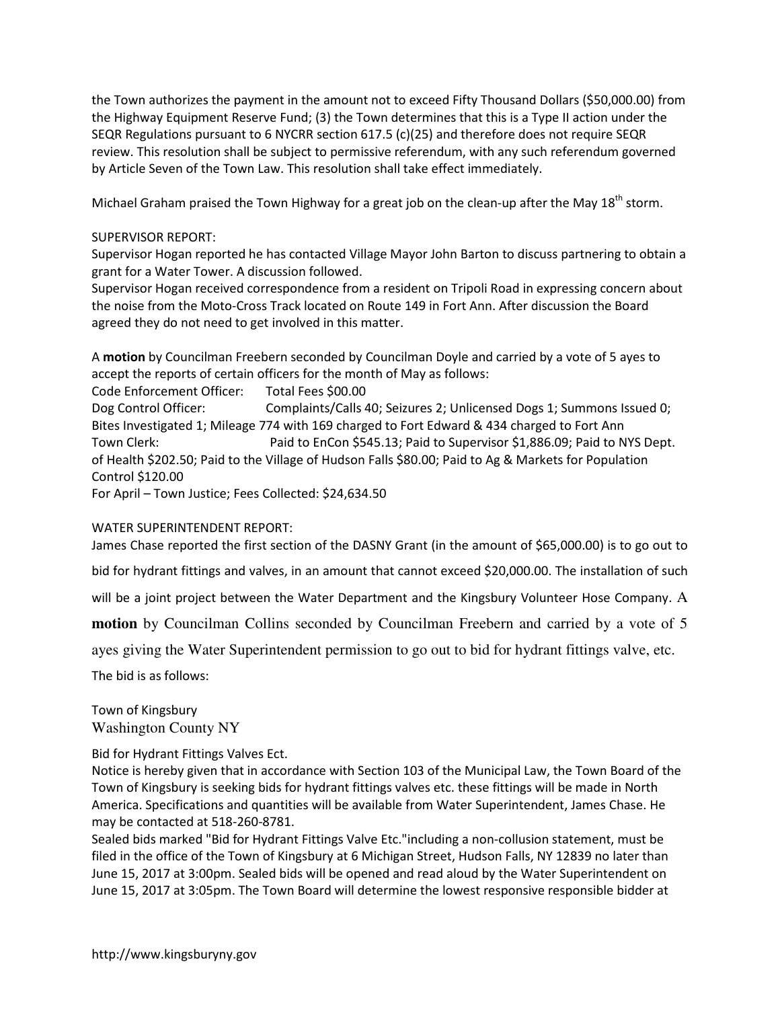the Town authorizes the payment in the amount not to exceed Fifty Thousand Dollars (\$50,000.00) from the Highway Equipment Reserve Fund; (3) the Town determines that this is a Type II action under the SEQR Regulations pursuant to 6 NYCRR section 617.5 (c)(25) and therefore does not require SEQR review. This resolution shall be subject to permissive referendum, with any such referendum governed by Article Seven of the Town Law. This resolution shall take effect immediately.

Michael Graham praised the Town Highway for a great job on the clean-up after the May  $18<sup>th</sup>$  storm.

## SUPERVISOR REPORT:

Supervisor Hogan reported he has contacted Village Mayor John Barton to discuss partnering to obtain a grant for a Water Tower. A discussion followed.

Supervisor Hogan received correspondence from a resident on Tripoli Road in expressing concern about the noise from the Moto-Cross Track located on Route 149 in Fort Ann. After discussion the Board agreed they do not need to get involved in this matter.

A **motion** by Councilman Freebern seconded by Councilman Doyle and carried by a vote of 5 ayes to accept the reports of certain officers for the month of May as follows: Code Enforcement Officer: Total Fees \$00.00 Dog Control Officer: Complaints/Calls 40; Seizures 2; Unlicensed Dogs 1; Summons Issued 0; Bites Investigated 1; Mileage 774 with 169 charged to Fort Edward & 434 charged to Fort Ann Town Clerk: Paid to EnCon \$545.13; Paid to Supervisor \$1,886.09; Paid to NYS Dept. of Health \$202.50; Paid to the Village of Hudson Falls \$80.00; Paid to Ag & Markets for Population Control \$120.00

For April – Town Justice; Fees Collected: \$24,634.50

### WATER SUPERINTENDENT REPORT:

James Chase reported the first section of the DASNY Grant (in the amount of \$65,000.00) is to go out to

bid for hydrant fittings and valves, in an amount that cannot exceed \$20,000.00. The installation of such

will be a joint project between the Water Department and the Kingsbury Volunteer Hose Company. A

**motion** by Councilman Collins seconded by Councilman Freebern and carried by a vote of 5

ayes giving the Water Superintendent permission to go out to bid for hydrant fittings valve, etc.

The bid is as follows:

Town of Kingsbury Washington County NY

### Bid for Hydrant Fittings Valves Ect.

Notice is hereby given that in accordance with Section 103 of the Municipal Law, the Town Board of the Town of Kingsbury is seeking bids for hydrant fittings valves etc. these fittings will be made in North America. Specifications and quantities will be available from Water Superintendent, James Chase. He may be contacted at 518-260-8781.

Sealed bids marked "Bid for Hydrant Fittings Valve Etc."including a non-collusion statement, must be filed in the office of the Town of Kingsbury at 6 Michigan Street, Hudson Falls, NY 12839 no later than June 15, 2017 at 3:00pm. Sealed bids will be opened and read aloud by the Water Superintendent on June 15, 2017 at 3:05pm. The Town Board will determine the lowest responsive responsible bidder at